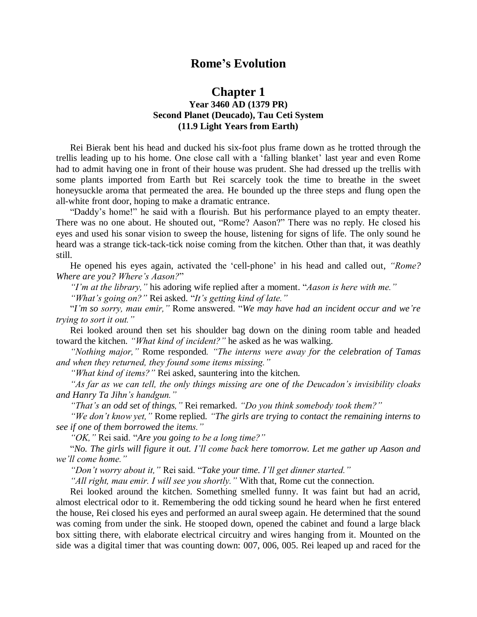## **Rome's Evolution**

## **Chapter 1 Year 3460 AD (1379 PR) Second Planet (Deucado), Tau Ceti System (11.9 Light Years from Earth)**

Rei Bierak bent his head and ducked his six-foot plus frame down as he trotted through the trellis leading up to his home. One close call with a 'falling blanket' last year and even Rome had to admit having one in front of their house was prudent. She had dressed up the trellis with some plants imported from Earth but Rei scarcely took the time to breathe in the sweet honeysuckle aroma that permeated the area. He bounded up the three steps and flung open the all-white front door, hoping to make a dramatic entrance.

"Daddy's home!" he said with a flourish. But his performance played to an empty theater. There was no one about. He shouted out, "Rome? Aason?" There was no reply. He closed his eyes and used his sonar vision to sweep the house, listening for signs of life. The only sound he heard was a strange tick-tack-tick noise coming from the kitchen. Other than that, it was deathly still.

He opened his eyes again, activated the 'cell-phone' in his head and called out, *"Rome? Where are you? Where's Aason?*"

*"I'm at the library,"* his adoring wife replied after a moment. "*Aason is here with me."*

*"What's going on?"* Rei asked. "*It's getting kind of late."*

"*I'm so sorry, mau emir,"* Rome answered. "*We may have had an incident occur and we're trying to sort it out."*

Rei looked around then set his shoulder bag down on the dining room table and headed toward the kitchen. *"What kind of incident?"* he asked as he was walking.

*"Nothing major,"* Rome responded*. "The interns were away for the celebration of Tamas and when they returned, they found some items missing."*

*"What kind of items?"* Rei asked, sauntering into the kitchen.

*"As far as we can tell, the only things missing are one of the Deucadon's invisibility cloaks and Hanry Ta Jihn's handgun."*

*"That's an odd set of things,"* Rei remarked. *"Do you think somebody took them?"*

*"We don't know yet,"* Rome replied*. "The girls are trying to contact the remaining interns to see if one of them borrowed the items."*

*"OK,"* Rei said. "*Are you going to be a long time?"*

"*No. The girls will figure it out. I'll come back here tomorrow. Let me gather up Aason and we'll come home."*

*"Don't worry about it,"* Rei said. "*Take your time. I'll get dinner started."*

*"All right, mau emir. I will see you shortly."* With that, Rome cut the connection.

Rei looked around the kitchen. Something smelled funny. It was faint but had an acrid, almost electrical odor to it. Remembering the odd ticking sound he heard when he first entered the house, Rei closed his eyes and performed an aural sweep again. He determined that the sound was coming from under the sink. He stooped down, opened the cabinet and found a large black box sitting there, with elaborate electrical circuitry and wires hanging from it. Mounted on the side was a digital timer that was counting down: 007, 006, 005. Rei leaped up and raced for the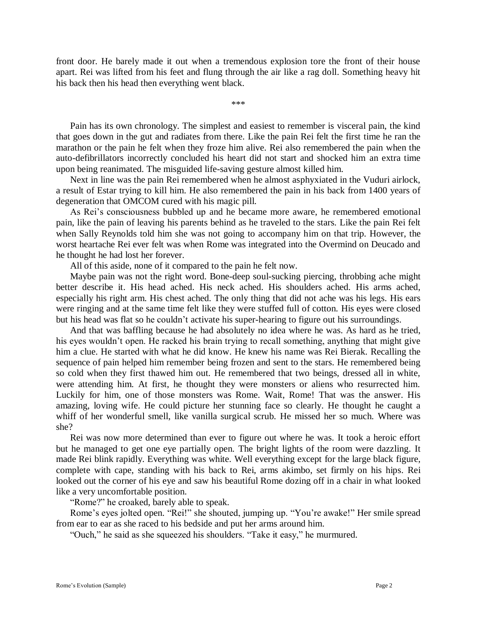front door. He barely made it out when a tremendous explosion tore the front of their house apart. Rei was lifted from his feet and flung through the air like a rag doll. Something heavy hit his back then his head then everything went black.

\*\*\*

Pain has its own chronology. The simplest and easiest to remember is visceral pain, the kind that goes down in the gut and radiates from there. Like the pain Rei felt the first time he ran the marathon or the pain he felt when they froze him alive. Rei also remembered the pain when the auto-defibrillators incorrectly concluded his heart did not start and shocked him an extra time upon being reanimated. The misguided life-saving gesture almost killed him.

Next in line was the pain Rei remembered when he almost asphyxiated in the Vuduri airlock, a result of Estar trying to kill him. He also remembered the pain in his back from 1400 years of degeneration that OMCOM cured with his magic pill.

As Rei's consciousness bubbled up and he became more aware, he remembered emotional pain, like the pain of leaving his parents behind as he traveled to the stars. Like the pain Rei felt when Sally Reynolds told him she was not going to accompany him on that trip. However, the worst heartache Rei ever felt was when Rome was integrated into the Overmind on Deucado and he thought he had lost her forever.

All of this aside, none of it compared to the pain he felt now.

Maybe pain was not the right word. Bone-deep soul-sucking piercing, throbbing ache might better describe it. His head ached. His neck ached. His shoulders ached. His arms ached, especially his right arm. His chest ached. The only thing that did not ache was his legs. His ears were ringing and at the same time felt like they were stuffed full of cotton. His eyes were closed but his head was flat so he couldn't activate his super-hearing to figure out his surroundings.

And that was baffling because he had absolutely no idea where he was. As hard as he tried, his eyes wouldn't open. He racked his brain trying to recall something, anything that might give him a clue. He started with what he did know. He knew his name was Rei Bierak. Recalling the sequence of pain helped him remember being frozen and sent to the stars. He remembered being so cold when they first thawed him out. He remembered that two beings, dressed all in white, were attending him. At first, he thought they were monsters or aliens who resurrected him. Luckily for him, one of those monsters was Rome. Wait, Rome! That was the answer. His amazing, loving wife. He could picture her stunning face so clearly. He thought he caught a whiff of her wonderful smell, like vanilla surgical scrub. He missed her so much. Where was she?

Rei was now more determined than ever to figure out where he was. It took a heroic effort but he managed to get one eye partially open. The bright lights of the room were dazzling. It made Rei blink rapidly. Everything was white. Well everything except for the large black figure, complete with cape, standing with his back to Rei, arms akimbo, set firmly on his hips. Rei looked out the corner of his eye and saw his beautiful Rome dozing off in a chair in what looked like a very uncomfortable position.

"Rome?" he croaked, barely able to speak.

Rome's eyes jolted open. "Rei!" she shouted, jumping up. "You're awake!" Her smile spread from ear to ear as she raced to his bedside and put her arms around him.

"Ouch," he said as she squeezed his shoulders. "Take it easy," he murmured.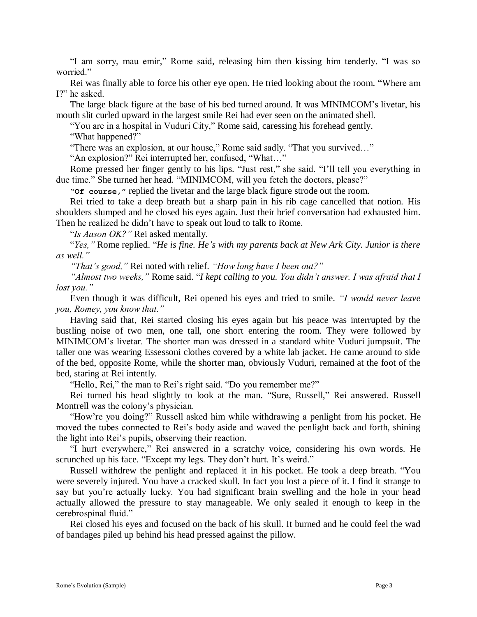"I am sorry, mau emir," Rome said, releasing him then kissing him tenderly. "I was so worried."

Rei was finally able to force his other eye open. He tried looking about the room. "Where am I?" he asked.

The large black figure at the base of his bed turned around. It was MINIMCOM's livetar, his mouth slit curled upward in the largest smile Rei had ever seen on the animated shell.

"You are in a hospital in Vuduri City," Rome said, caressing his forehead gently.

"What happened?"

"There was an explosion, at our house," Rome said sadly. "That you survived…"

"An explosion?" Rei interrupted her, confused, "What…"

Rome pressed her finger gently to his lips. "Just rest," she said. "I'll tell you everything in due time." She turned her head. "MINIMCOM, will you fetch the doctors, please?"

**"Of course,"** replied the livetar and the large black figure strode out the room.

Rei tried to take a deep breath but a sharp pain in his rib cage cancelled that notion. His shoulders slumped and he closed his eyes again. Just their brief conversation had exhausted him. Then he realized he didn't have to speak out loud to talk to Rome.

"*Is Aason OK?"* Rei asked mentally.

"*Yes,"* Rome replied. "*He is fine. He's with my parents back at New Ark City. Junior is there as well."*

*"That's good,"* Rei noted with relief. *"How long have I been out?"*

*"Almost two weeks,"* Rome said. "*I kept calling to you. You didn't answer. I was afraid that I lost you."*

Even though it was difficult, Rei opened his eyes and tried to smile. *"I would never leave you, Romey, you know that."*

Having said that, Rei started closing his eyes again but his peace was interrupted by the bustling noise of two men, one tall, one short entering the room. They were followed by MINIMCOM's livetar. The shorter man was dressed in a standard white Vuduri jumpsuit. The taller one was wearing Essessoni clothes covered by a white lab jacket. He came around to side of the bed, opposite Rome, while the shorter man, obviously Vuduri, remained at the foot of the bed, staring at Rei intently.

"Hello, Rei," the man to Rei's right said. "Do you remember me?"

Rei turned his head slightly to look at the man. "Sure, Russell," Rei answered. Russell Montrell was the colony's physician.

"How're you doing?" Russell asked him while withdrawing a penlight from his pocket. He moved the tubes connected to Rei's body aside and waved the penlight back and forth, shining the light into Rei's pupils, observing their reaction.

"I hurt everywhere," Rei answered in a scratchy voice, considering his own words. He scrunched up his face. "Except my legs. They don't hurt. It's weird."

Russell withdrew the penlight and replaced it in his pocket. He took a deep breath. "You were severely injured. You have a cracked skull. In fact you lost a piece of it. I find it strange to say but you're actually lucky. You had significant brain swelling and the hole in your head actually allowed the pressure to stay manageable. We only sealed it enough to keep in the cerebrospinal fluid."

Rei closed his eyes and focused on the back of his skull. It burned and he could feel the wad of bandages piled up behind his head pressed against the pillow.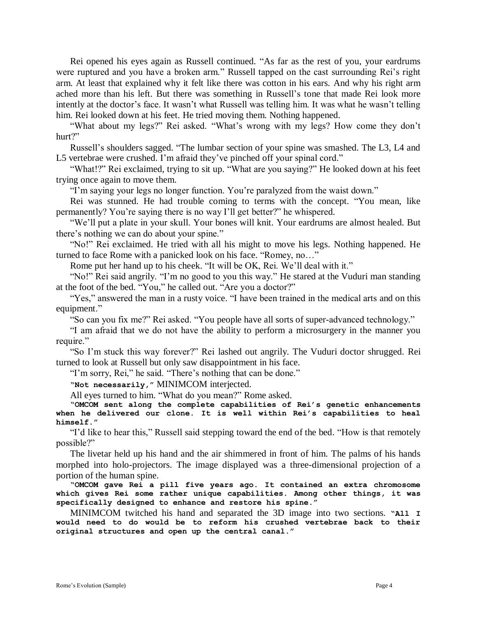Rei opened his eyes again as Russell continued. "As far as the rest of you, your eardrums were ruptured and you have a broken arm." Russell tapped on the cast surrounding Rei's right arm. At least that explained why it felt like there was cotton in his ears. And why his right arm ached more than his left. But there was something in Russell's tone that made Rei look more intently at the doctor's face. It wasn't what Russell was telling him. It was what he wasn't telling him. Rei looked down at his feet. He tried moving them. Nothing happened.

"What about my legs?" Rei asked. "What's wrong with my legs? How come they don't hurt?"

Russell's shoulders sagged. "The lumbar section of your spine was smashed. The L3, L4 and L5 vertebrae were crushed. I'm afraid they've pinched off your spinal cord."

"What!?" Rei exclaimed, trying to sit up. "What are you saying?" He looked down at his feet trying once again to move them.

"I'm saying your legs no longer function. You're paralyzed from the waist down."

Rei was stunned. He had trouble coming to terms with the concept. "You mean, like permanently? You're saying there is no way I'll get better?" he whispered.

"We'll put a plate in your skull. Your bones will knit. Your eardrums are almost healed. But there's nothing we can do about your spine."

"No!" Rei exclaimed. He tried with all his might to move his legs. Nothing happened. He turned to face Rome with a panicked look on his face. "Romey, no…"

Rome put her hand up to his cheek. "It will be OK, Rei. We'll deal with it."

"No!" Rei said angrily. "I'm no good to you this way." He stared at the Vuduri man standing at the foot of the bed. "You," he called out. "Are you a doctor?"

"Yes," answered the man in a rusty voice. "I have been trained in the medical arts and on this equipment."

"So can you fix me?" Rei asked. "You people have all sorts of super-advanced technology."

"I am afraid that we do not have the ability to perform a microsurgery in the manner you require."

"So I'm stuck this way forever?" Rei lashed out angrily. The Vuduri doctor shrugged. Rei turned to look at Russell but only saw disappointment in his face.

"I'm sorry, Rei," he said. "There's nothing that can be done."

**"Not necessarily,"** MINIMCOM interjected.

All eyes turned to him. "What do you mean?" Rome asked.

**"OMCOM sent along the complete capabilities of Rei's genetic enhancements when he delivered our clone. It is well within Rei's capabilities to heal himself."**

"I'd like to hear this," Russell said stepping toward the end of the bed. "How is that remotely possible?"

The livetar held up his hand and the air shimmered in front of him. The palms of his hands morphed into holo-projectors. The image displayed was a three-dimensional projection of a portion of the human spine.

**"OMCOM gave Rei a pill five years ago. It contained an extra chromosome which gives Rei some rather unique capabilities. Among other things, it was specifically designed to enhance and restore his spine."**

MINIMCOM twitched his hand and separated the 3D image into two sections. **"All I would need to do would be to reform his crushed vertebrae back to their original structures and open up the central canal."**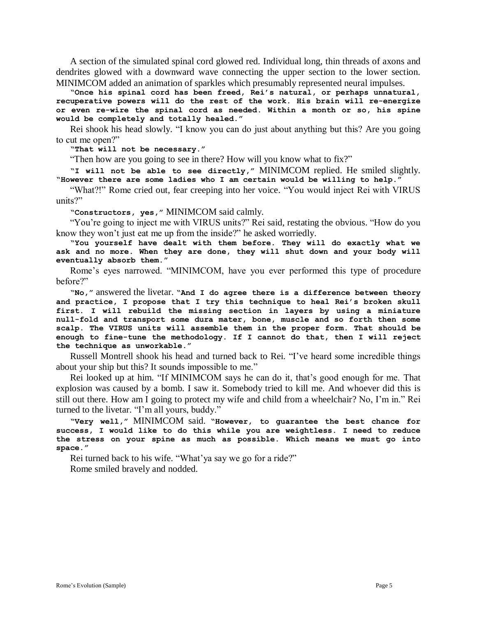A section of the simulated spinal cord glowed red. Individual long, thin threads of axons and dendrites glowed with a downward wave connecting the upper section to the lower section. MINIMCOM added an animation of sparkles which presumably represented neural impulses.

**"Once his spinal cord has been freed, Rei's natural, or perhaps unnatural, recuperative powers will do the rest of the work. His brain will re-energize or even re-wire the spinal cord as needed. Within a month or so, his spine would be completely and totally healed."**

Rei shook his head slowly. "I know you can do just about anything but this? Are you going to cut me open?"

**"That will not be necessary."**

"Then how are you going to see in there? How will you know what to fix?"

**"I will not be able to see directly,"** MINIMCOM replied. He smiled slightly. **"However there are some ladies who I am certain would be willing to help."**

"What?!" Rome cried out, fear creeping into her voice. "You would inject Rei with VIRUS units?"

**"Constructors, yes,"** MINIMCOM said calmly.

"You're going to inject me with VIRUS units?" Rei said, restating the obvious. "How do you know they won't just eat me up from the inside?" he asked worriedly.

**"You yourself have dealt with them before. They will do exactly what we ask and no more. When they are done, they will shut down and your body will eventually absorb them."**

Rome's eyes narrowed. "MINIMCOM, have you ever performed this type of procedure before?"

**"No,"** answered the livetar. **"And I do agree there is a difference between theory and practice, I propose that I try this technique to heal Rei's broken skull first. I will rebuild the missing section in layers by using a miniature null-fold and transport some dura mater, bone, muscle and so forth then some scalp. The VIRUS units will assemble them in the proper form. That should be enough to fine-tune the methodology. If I cannot do that, then I will reject the technique as unworkable."**

Russell Montrell shook his head and turned back to Rei. "I've heard some incredible things about your ship but this? It sounds impossible to me."

Rei looked up at him. "If MINIMCOM says he can do it, that's good enough for me. That explosion was caused by a bomb. I saw it. Somebody tried to kill me. And whoever did this is still out there. How am I going to protect my wife and child from a wheelchair? No, I'm in." Rei turned to the livetar. "I'm all yours, buddy."

**"Very well,"** MINIMCOM said. **"However, to guarantee the best chance for success, I would like to do this while you are weightless. I need to reduce the stress on your spine as much as possible. Which means we must go into space."**

Rei turned back to his wife. "What'ya say we go for a ride?" Rome smiled bravely and nodded.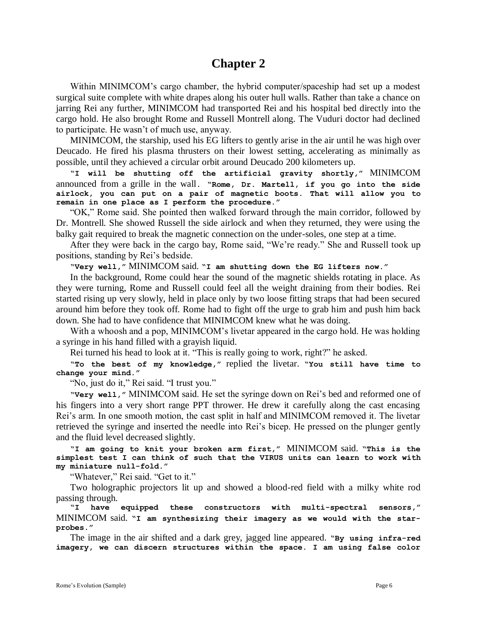## **Chapter 2**

Within MINIMCOM's cargo chamber, the hybrid computer/spaceship had set up a modest surgical suite complete with white drapes along his outer hull walls. Rather than take a chance on jarring Rei any further, MINIMCOM had transported Rei and his hospital bed directly into the cargo hold. He also brought Rome and Russell Montrell along. The Vuduri doctor had declined to participate. He wasn't of much use, anyway.

MINIMCOM, the starship, used his EG lifters to gently arise in the air until he was high over Deucado. He fired his plasma thrusters on their lowest setting, accelerating as minimally as possible, until they achieved a circular orbit around Deucado 200 kilometers up.

**"I will be shutting off the artificial gravity shortly,"** MINIMCOM announced from a grille in the wall**. "Rome, Dr. Martell, if you go into the side airlock, you can put on a pair of magnetic boots. That will allow you to remain in one place as I perform the procedure."**

"OK," Rome said. She pointed then walked forward through the main corridor, followed by Dr. Montrell. She showed Russell the side airlock and when they returned, they were using the balky gait required to break the magnetic connection on the under-soles, one step at a time.

After they were back in the cargo bay, Rome said, "We're ready." She and Russell took up positions, standing by Rei's bedside.

**"Very well,"** MINIMCOM said. **"I am shutting down the EG lifters now."**

In the background, Rome could hear the sound of the magnetic shields rotating in place. As they were turning, Rome and Russell could feel all the weight draining from their bodies. Rei started rising up very slowly, held in place only by two loose fitting straps that had been secured around him before they took off. Rome had to fight off the urge to grab him and push him back down. She had to have confidence that MINIMCOM knew what he was doing.

With a whoosh and a pop, MINIMCOM's livetar appeared in the cargo hold. He was holding a syringe in his hand filled with a grayish liquid.

Rei turned his head to look at it. "This is really going to work, right?" he asked.

**"To the best of my knowledge,"** replied the livetar. **"You still have time to change your mind."**

"No, just do it," Rei said. "I trust you."

**"Very well,"** MINIMCOM said. He set the syringe down on Rei's bed and reformed one of his fingers into a very short range PPT thrower. He drew it carefully along the cast encasing Rei's arm. In one smooth motion, the cast split in half and MINIMCOM removed it. The livetar retrieved the syringe and inserted the needle into Rei's bicep. He pressed on the plunger gently and the fluid level decreased slightly.

**"I am going to knit your broken arm first,"** MINIMCOM said. **"This is the simplest test I can think of such that the VIRUS units can learn to work with my miniature null-fold."**

"Whatever," Rei said. "Get to it."

Two holographic projectors lit up and showed a blood-red field with a milky white rod passing through.

**"I have equipped these constructors with multi-spectral sensors,"** MINIMCOM said. **"I am synthesizing their imagery as we would with the starprobes."**

The image in the air shifted and a dark grey, jagged line appeared. **"By using infra-red imagery, we can discern structures within the space. I am using false color**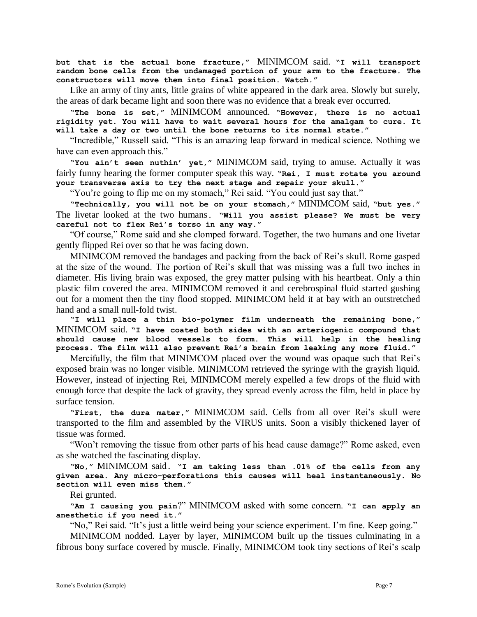**but that is the actual bone fracture,"** MINIMCOM said. **"I will transport random bone cells from the undamaged portion of your arm to the fracture. The constructors will move them into final position. Watch."**

Like an army of tiny ants, little grains of white appeared in the dark area. Slowly but surely, the areas of dark became light and soon there was no evidence that a break ever occurred.

**"The bone is set,"** MINIMCOM announced. **"However, there is no actual rigidity yet. You will have to wait several hours for the amalgam to cure. It will take a day or two until the bone returns to its normal state."**

"Incredible," Russell said. "This is an amazing leap forward in medical science. Nothing we have can even approach this."

**"You ain't seen nuthin' yet,"** MINIMCOM said, trying to amuse. Actually it was fairly funny hearing the former computer speak this way. **"Rei, I must rotate you around your transverse axis to try the next stage and repair your skull."**

"You're going to flip me on my stomach," Rei said. "You could just say that."

**"Technically, you will not be on your stomach,"** MINIMCOM said, **"but yes."** The livetar looked at the two humans**. "Will you assist please? We must be very careful not to flex Rei's torso in any way."**

"Of course," Rome said and she clomped forward. Together, the two humans and one livetar gently flipped Rei over so that he was facing down.

MINIMCOM removed the bandages and packing from the back of Rei's skull. Rome gasped at the size of the wound. The portion of Rei's skull that was missing was a full two inches in diameter. His living brain was exposed, the grey matter pulsing with his heartbeat. Only a thin plastic film covered the area. MINIMCOM removed it and cerebrospinal fluid started gushing out for a moment then the tiny flood stopped. MINIMCOM held it at bay with an outstretched hand and a small null-fold twist.

**"I will place a thin bio-polymer film underneath the remaining bone,"** MINIMCOM said. **"I have coated both sides with an arteriogenic compound that should cause new blood vessels to form. This will help in the healing process. The film will also prevent Rei's brain from leaking any more fluid."**

Mercifully, the film that MINIMCOM placed over the wound was opaque such that Rei's exposed brain was no longer visible. MINIMCOM retrieved the syringe with the grayish liquid. However, instead of injecting Rei, MINIMCOM merely expelled a few drops of the fluid with enough force that despite the lack of gravity, they spread evenly across the film, held in place by surface tension.

**"First, the dura mater,"** MINIMCOM said. Cells from all over Rei's skull were transported to the film and assembled by the VIRUS units. Soon a visibly thickened layer of tissue was formed.

"Won't removing the tissue from other parts of his head cause damage?" Rome asked, even as she watched the fascinating display.

**"No,"** MINIMCOM said**. "I am taking less than .01% of the cells from any given area. Any micro-perforations this causes will heal instantaneously. No section will even miss them."**

Rei grunted.

**"Am I causing you pain**?" MINIMCOM asked with some concern. **"I can apply an anesthetic if you need it."**

"No," Rei said. "It's just a little weird being your science experiment. I'm fine. Keep going."

MINIMCOM nodded. Layer by layer, MINIMCOM built up the tissues culminating in a fibrous bony surface covered by muscle. Finally, MINIMCOM took tiny sections of Rei's scalp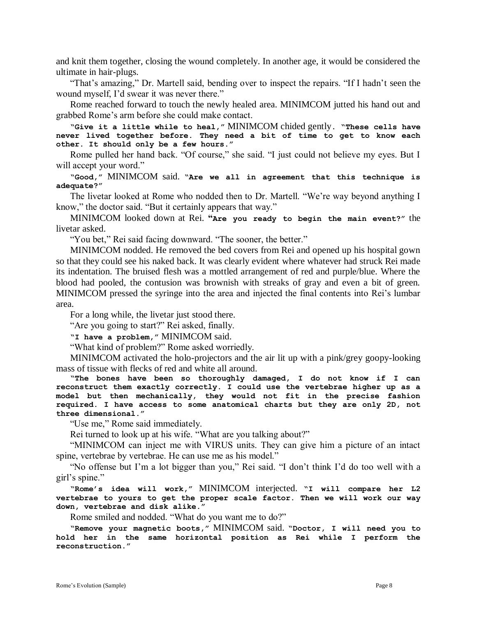and knit them together, closing the wound completely. In another age, it would be considered the ultimate in hair-plugs.

"That's amazing," Dr. Martell said, bending over to inspect the repairs. "If I hadn't seen the wound myself, I'd swear it was never there."

Rome reached forward to touch the newly healed area. MINIMCOM jutted his hand out and grabbed Rome's arm before she could make contact.

**"Give it a little while to heal,"** MINIMCOM chided gently**. "These cells have never lived together before. They need a bit of time to get to know each other. It should only be a few hours."**

Rome pulled her hand back. "Of course," she said. "I just could not believe my eyes. But I will accept your word."

**"Good,"** MINIMCOM said. **"Are we all in agreement that this technique is adequate?"**

The livetar looked at Rome who nodded then to Dr. Martell. "We're way beyond anything I know," the doctor said. "But it certainly appears that way."

MINIMCOM looked down at Rei. **"Are you ready to begin the main event?"** the livetar asked.

"You bet," Rei said facing downward. "The sooner, the better."

MINIMCOM nodded. He removed the bed covers from Rei and opened up his hospital gown so that they could see his naked back. It was clearly evident where whatever had struck Rei made its indentation. The bruised flesh was a mottled arrangement of red and purple/blue. Where the blood had pooled, the contusion was brownish with streaks of gray and even a bit of green. MINIMCOM pressed the syringe into the area and injected the final contents into Rei's lumbar area.

For a long while, the livetar just stood there.

"Are you going to start?" Rei asked, finally.

**"I have a problem,"** MINIMCOM said.

"What kind of problem?" Rome asked worriedly.

MINIMCOM activated the holo-projectors and the air lit up with a pink/grey goopy-looking mass of tissue with flecks of red and white all around.

**"The bones have been so thoroughly damaged, I do not know if I can reconstruct them exactly correctly. I could use the vertebrae higher up as a model but then mechanically, they would not fit in the precise fashion required. I have access to some anatomical charts but they are only 2D, not three dimensional."**

"Use me," Rome said immediately.

Rei turned to look up at his wife. "What are you talking about?"

"MINIMCOM can inject me with VIRUS units. They can give him a picture of an intact spine, vertebrae by vertebrae. He can use me as his model."

"No offense but I'm a lot bigger than you," Rei said. "I don't think I'd do too well with a girl's spine."

**"Rome's idea will work,"** MINIMCOM interjected. **"I will compare her L2 vertebrae to yours to get the proper scale factor. Then we will work our way down, vertebrae and disk alike."**

Rome smiled and nodded. "What do you want me to do?"

**"Remove your magnetic boots,"** MINIMCOM said. **"Doctor, I will need you to hold her in the same horizontal position as Rei while I perform the reconstruction."**